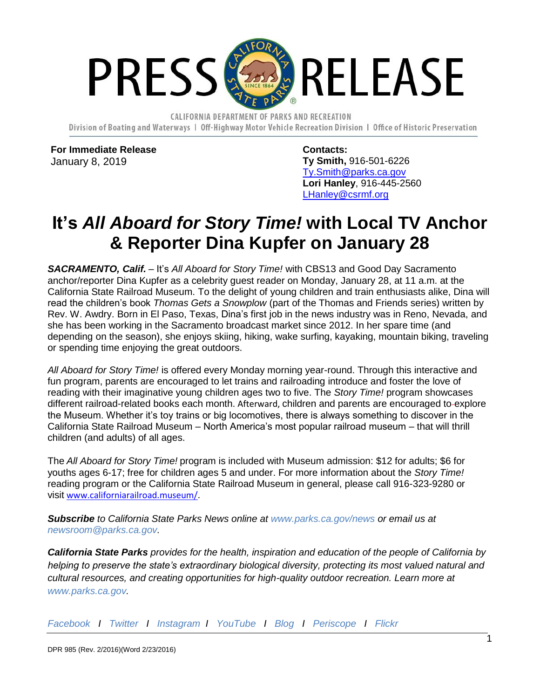

CALIFORNIA DEPARTMENT OF PARKS AND RECREATION Division of Boating and Waterways 1 Off-Highway Motor Vehicle Recreation Division 1 Office of Historic Preservation

**For Immediate Release** January 8, 2019

**Contacts: Ty Smith,** 916-501-6226 [Ty.Smith@parks.ca.gov](mailto:Ty.Smith@parks.ca.gov) **Lori Hanley**, 916-445-2560 [LHanley@csrmf.org](mailto:LHanley@csrmf.org)

## **It's** *All Aboard for Story Time!* **with Local TV Anchor & Reporter Dina Kupfer on January 28**

*SACRAMENTO, Calif.* – It's *All Aboard for Story Time!* with CBS13 and Good Day Sacramento anchor/reporter Dina Kupfer as a celebrity guest reader on Monday, January 28, at 11 a.m. at the California State Railroad Museum. To the delight of young children and train enthusiasts alike, Dina will read the children's book *Thomas Gets a Snowplow* (part of the Thomas and Friends series) written by Rev. W. Awdry. Born in El Paso, Texas, Dina's first job in the news industry was in Reno, Nevada, and she has been working in the Sacramento broadcast market since 2012. In her spare time (and depending on the season), she enjoys skiing, hiking, wake surfing, kayaking, mountain biking, traveling or spending time enjoying the great outdoors.

*All Aboard for Story Time!* is offered every Monday morning year-round. Through this interactive and fun program, parents are encouraged to let trains and railroading introduce and foster the love of reading with their imaginative young children ages two to five. The *Story Time!* program showcases different railroad-related books each month. Afterward, children and parents are encouraged to explore the Museum. Whether it's toy trains or big locomotives, there is always something to discover in the California State Railroad Museum – North America's most popular railroad museum – that will thrill children (and adults) of all ages.

The *All Aboard for Story Time!* program is included with Museum admission: \$12 for adults; \$6 for youths ages 6-17; free for children ages 5 and under. For more information about the *Story Time!* reading program or the California State Railroad Museum in general, please call 916-323-9280 or visit [www.californiarailroad.museum/](http://www.californiarailroad.museum/).

*Subscribe to California State Parks News online at [www.parks.ca.gov/news](http://www.parks.ca.gov/news) or email us at [newsroom@parks.ca.gov.](mailto:newsroom@parks.ca.gov)*

*California State Parks provides for the health, inspiration and education of the people of California by helping to preserve the state's extraordinary biological diversity, protecting its most valued natural and cultural resources, and creating opportunities for high-quality outdoor recreation. Learn more at [www.parks.ca.gov.](http://www.parks.ca.gov/)*

*[Facebook](https://www.facebook.com/CaliforniaStateParks) I [Twitter](https://twitter.com/CAStateParks?ref_src=twsrc%5Egoogle%7Ctwcamp%5Eserp%7Ctwgr%5Eauthor) I [Instagram](https://www.instagram.com/castateparks/) I [YouTube](https://www.youtube.com/user/CaliforniaStateParks) I [Blog](https://castateparks.wordpress.com/) I [Periscope](https://www.periscope.tv/w/1yNGakjyVqNxj?q=castateparks) I [Flickr](https://www.flickr.com/photos/139789087@N04/albums/with/72157665025060508)*